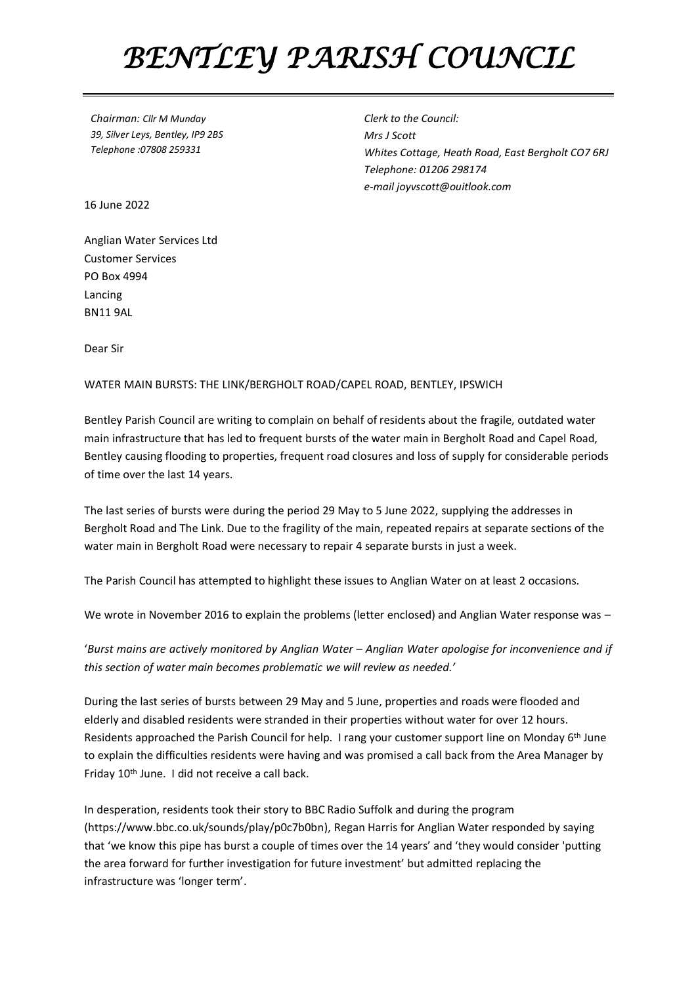## *BENTLEY PARISH COUNCIL*

*Chairman: Cllr M Munday 39, Silver Leys, Bentley, IP9 2BS Telephone :07808 259331*

*Clerk to the Council: Mrs J Scott Whites Cottage, Heath Road, East Bergholt CO7 6RJ Telephone: 01206 298174 e-mail joyvscott@ouitlook.com*

16 June 2022

Anglian Water Services Ltd Customer Services PO Box 4994 Lancing BN11 9AL

Dear Sir

## WATER MAIN BURSTS: THE LINK/BERGHOLT ROAD/CAPEL ROAD, BENTLEY, IPSWICH

Bentley Parish Council are writing to complain on behalf of residents about the fragile, outdated water main infrastructure that has led to frequent bursts of the water main in Bergholt Road and Capel Road, Bentley causing flooding to properties, frequent road closures and loss of supply for considerable periods of time over the last 14 years.

The last series of bursts were during the period 29 May to 5 June 2022, supplying the addresses in Bergholt Road and The Link. Due to the fragility of the main, repeated repairs at separate sections of the water main in Bergholt Road were necessary to repair 4 separate bursts in just a week.

The Parish Council has attempted to highlight these issues to Anglian Water on at least 2 occasions.

We wrote in November 2016 to explain the problems (letter enclosed) and Anglian Water response was -

'*Burst mains are actively monitored by Anglian Water – Anglian Water apologise for inconvenience and if this section of water main becomes problematic we will review as needed.'*

During the last series of bursts between 29 May and 5 June, properties and roads were flooded and elderly and disabled residents were stranded in their properties without water for over 12 hours. Residents approached the Parish Council for help. I rang your customer support line on Monday 6th June to explain the difficulties residents were having and was promised a call back from the Area Manager by Friday 10th June. I did not receive a call back.

In desperation, residents took their story to BBC Radio Suffolk and during the program (https://www.bbc.co.uk/sounds/play/p0c7b0bn), Regan Harris for Anglian Water responded by saying that 'we know this pipe has burst a couple of times over the 14 years' and 'they would consider 'putting the area forward for further investigation for future investment' but admitted replacing the infrastructure was 'longer term'.